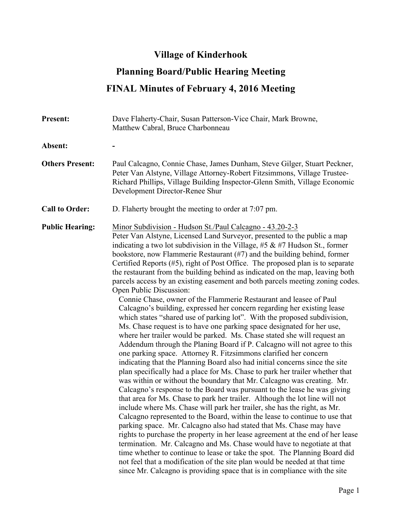## **Village of Kinderhook**

## **Planning Board/Public Hearing Meeting FINAL Minutes of February 4, 2016 Meeting**

| <b>Present:</b>        | Dave Flaherty-Chair, Susan Patterson-Vice Chair, Mark Browne,<br>Matthew Cabral, Bruce Charbonneau                                                                                                                                                                                                                                                                                                                                                                                                                                                                                                                                                                                                                                                                                                                                                                                                                                                                                                                                                                                                                                                                                                                                                                                                                                                                                                                                                                                                                                                                                                                                                                                                                                                                                                                                                                                                                                                                                                                                                                                                                                                                  |
|------------------------|---------------------------------------------------------------------------------------------------------------------------------------------------------------------------------------------------------------------------------------------------------------------------------------------------------------------------------------------------------------------------------------------------------------------------------------------------------------------------------------------------------------------------------------------------------------------------------------------------------------------------------------------------------------------------------------------------------------------------------------------------------------------------------------------------------------------------------------------------------------------------------------------------------------------------------------------------------------------------------------------------------------------------------------------------------------------------------------------------------------------------------------------------------------------------------------------------------------------------------------------------------------------------------------------------------------------------------------------------------------------------------------------------------------------------------------------------------------------------------------------------------------------------------------------------------------------------------------------------------------------------------------------------------------------------------------------------------------------------------------------------------------------------------------------------------------------------------------------------------------------------------------------------------------------------------------------------------------------------------------------------------------------------------------------------------------------------------------------------------------------------------------------------------------------|
| Absent:                |                                                                                                                                                                                                                                                                                                                                                                                                                                                                                                                                                                                                                                                                                                                                                                                                                                                                                                                                                                                                                                                                                                                                                                                                                                                                                                                                                                                                                                                                                                                                                                                                                                                                                                                                                                                                                                                                                                                                                                                                                                                                                                                                                                     |
| <b>Others Present:</b> | Paul Calcagno, Connie Chase, James Dunham, Steve Gilger, Stuart Peckner,<br>Peter Van Alstyne, Village Attorney-Robert Fitzsimmons, Village Trustee-<br>Richard Phillips, Village Building Inspector-Glenn Smith, Village Economic<br>Development Director-Renee Shur                                                                                                                                                                                                                                                                                                                                                                                                                                                                                                                                                                                                                                                                                                                                                                                                                                                                                                                                                                                                                                                                                                                                                                                                                                                                                                                                                                                                                                                                                                                                                                                                                                                                                                                                                                                                                                                                                               |
| <b>Call to Order:</b>  | D. Flaherty brought the meeting to order at 7:07 pm.                                                                                                                                                                                                                                                                                                                                                                                                                                                                                                                                                                                                                                                                                                                                                                                                                                                                                                                                                                                                                                                                                                                                                                                                                                                                                                                                                                                                                                                                                                                                                                                                                                                                                                                                                                                                                                                                                                                                                                                                                                                                                                                |
| <b>Public Hearing:</b> | Minor Subdivision - Hudson St./Paul Calcagno - 43.20-2-3<br>Peter Van Alstyne, Licensed Land Surveyor, presented to the public a map<br>indicating a two lot subdivision in the Village, #5 $\&$ #7 Hudson St., former<br>bookstore, now Flammerie Restaurant (#7) and the building behind, former<br>Certified Reports $(\#5)$ , right of Post Office. The proposed plan is to separate<br>the restaurant from the building behind as indicated on the map, leaving both<br>parcels access by an existing easement and both parcels meeting zoning codes.<br>Open Public Discussion:<br>Connie Chase, owner of the Flammerie Restaurant and leasee of Paul<br>Calcagno's building, expressed her concern regarding her existing lease<br>which states "shared use of parking lot". With the proposed subdivision,<br>Ms. Chase request is to have one parking space designated for her use,<br>where her trailer would be parked. Ms. Chase stated she will request an<br>Addendum through the Planing Board if P. Calcagno will not agree to this<br>one parking space. Attorney R. Fitzsimmons clarified her concern<br>indicating that the Planning Board also had initial concerns since the site<br>plan specifically had a place for Ms. Chase to park her trailer whether that<br>was within or without the boundary that Mr. Calcagno was creating. Mr.<br>Calcagno's response to the Board was pursuant to the lease he was giving<br>that area for Ms. Chase to park her trailer. Although the lot line will not<br>include where Ms. Chase will park her trailer, she has the right, as Mr.<br>Calcagno represented to the Board, within the lease to continue to use that<br>parking space. Mr. Calcagno also had stated that Ms. Chase may have<br>rights to purchase the property in her lease agreement at the end of her lease<br>termination. Mr. Calcagno and Ms. Chase would have to negotiate at that<br>time whether to continue to lease or take the spot. The Planning Board did<br>not feel that a modification of the site plan would be needed at that time<br>since Mr. Calcagno is providing space that is in compliance with the site |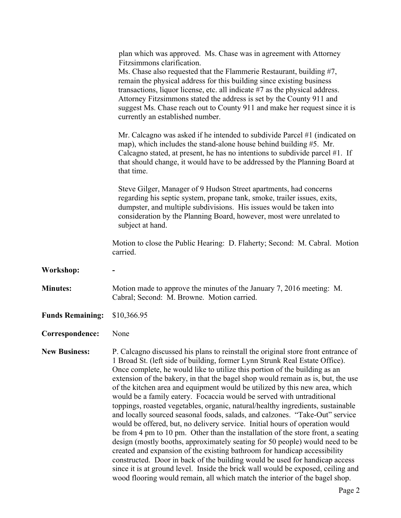|                         | plan which was approved. Ms. Chase was in agreement with Attorney<br>Fitzsimmons clarification.<br>Ms. Chase also requested that the Flammerie Restaurant, building #7,<br>remain the physical address for this building since existing business<br>transactions, liquor license, etc. all indicate #7 as the physical address.<br>Attorney Fitzsimmons stated the address is set by the County 911 and<br>suggest Ms. Chase reach out to County 911 and make her request since it is<br>currently an established number.<br>Mr. Calcagno was asked if he intended to subdivide Parcel #1 (indicated on<br>map), which includes the stand-alone house behind building $#5$ . Mr.<br>Calcagno stated, at present, he has no intentions to subdivide parcel $#1$ . If<br>that should change, it would have to be addressed by the Planning Board at<br>that time.                                                                                                                                                                                                                                                                                                   |
|-------------------------|-------------------------------------------------------------------------------------------------------------------------------------------------------------------------------------------------------------------------------------------------------------------------------------------------------------------------------------------------------------------------------------------------------------------------------------------------------------------------------------------------------------------------------------------------------------------------------------------------------------------------------------------------------------------------------------------------------------------------------------------------------------------------------------------------------------------------------------------------------------------------------------------------------------------------------------------------------------------------------------------------------------------------------------------------------------------------------------------------------------------------------------------------------------------|
|                         | Steve Gilger, Manager of 9 Hudson Street apartments, had concerns<br>regarding his septic system, propane tank, smoke, trailer issues, exits,<br>dumpster, and multiple subdivisions. His issues would be taken into<br>consideration by the Planning Board, however, most were unrelated to<br>subject at hand.                                                                                                                                                                                                                                                                                                                                                                                                                                                                                                                                                                                                                                                                                                                                                                                                                                                  |
|                         | Motion to close the Public Hearing: D. Flaherty; Second: M. Cabral. Motion<br>carried.                                                                                                                                                                                                                                                                                                                                                                                                                                                                                                                                                                                                                                                                                                                                                                                                                                                                                                                                                                                                                                                                            |
| Workshop:               |                                                                                                                                                                                                                                                                                                                                                                                                                                                                                                                                                                                                                                                                                                                                                                                                                                                                                                                                                                                                                                                                                                                                                                   |
| <b>Minutes:</b>         | Motion made to approve the minutes of the January 7, 2016 meeting: M.<br>Cabral; Second: M. Browne. Motion carried.                                                                                                                                                                                                                                                                                                                                                                                                                                                                                                                                                                                                                                                                                                                                                                                                                                                                                                                                                                                                                                               |
| <b>Funds Remaining:</b> | \$10,366.95                                                                                                                                                                                                                                                                                                                                                                                                                                                                                                                                                                                                                                                                                                                                                                                                                                                                                                                                                                                                                                                                                                                                                       |
| Correspondence:         | None                                                                                                                                                                                                                                                                                                                                                                                                                                                                                                                                                                                                                                                                                                                                                                                                                                                                                                                                                                                                                                                                                                                                                              |
| <b>New Business:</b>    | P. Calcagno discussed his plans to reinstall the original store front entrance of<br>1 Broad St. (left side of building, former Lynn Strunk Real Estate Office).<br>Once complete, he would like to utilize this portion of the building as an<br>extension of the bakery, in that the bagel shop would remain as is, but, the use<br>of the kitchen area and equipment would be utilized by this new area, which<br>would be a family eatery. Focaccia would be served with untraditional<br>toppings, roasted vegetables, organic, natural/healthy ingredients, sustainable<br>and locally sourced seasonal foods, salads, and calzones. "Take-Out" service<br>would be offered, but, no delivery service. Initial hours of operation would<br>be from 4 pm to 10 pm. Other than the installation of the store front, a seating<br>design (mostly booths, approximately seating for 50 people) would need to be<br>created and expansion of the existing bathroom for handicap accessibility<br>constructed. Door in back of the building would be used for handicap access<br>since it is at ground level. Inside the brick wall would be exposed, ceiling and |

wood flooring would remain, all which match the interior of the bagel shop.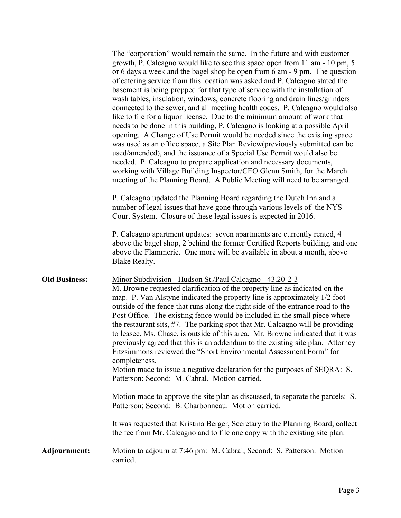|                      | The "corporation" would remain the same. In the future and with customer<br>growth, P. Calcagno would like to see this space open from 11 am - 10 pm, 5<br>or 6 days a week and the bagel shop be open from 6 am - 9 pm. The question<br>of catering service from this location was asked and P. Calcagno stated the<br>basement is being prepped for that type of service with the installation of<br>wash tables, insulation, windows, concrete flooring and drain lines/grinders<br>connected to the sewer, and all meeting health codes. P. Calcagno would also<br>like to file for a liquor license. Due to the minimum amount of work that<br>needs to be done in this building, P. Calcagno is looking at a possible April<br>opening. A Change of Use Permit would be needed since the existing space<br>was used as an office space, a Site Plan Review (previously submitted can be<br>used/amended), and the issuance of a Special Use Permit would also be<br>needed. P. Calcagno to prepare application and necessary documents,<br>working with Village Building Inspector/CEO Glenn Smith, for the March<br>meeting of the Planning Board. A Public Meeting will need to be arranged. |
|----------------------|------------------------------------------------------------------------------------------------------------------------------------------------------------------------------------------------------------------------------------------------------------------------------------------------------------------------------------------------------------------------------------------------------------------------------------------------------------------------------------------------------------------------------------------------------------------------------------------------------------------------------------------------------------------------------------------------------------------------------------------------------------------------------------------------------------------------------------------------------------------------------------------------------------------------------------------------------------------------------------------------------------------------------------------------------------------------------------------------------------------------------------------------------------------------------------------------------|
|                      | P. Calcagno updated the Planning Board regarding the Dutch Inn and a<br>number of legal issues that have gone through various levels of the NYS<br>Court System. Closure of these legal issues is expected in 2016.                                                                                                                                                                                                                                                                                                                                                                                                                                                                                                                                                                                                                                                                                                                                                                                                                                                                                                                                                                                  |
|                      | P. Calcagno apartment updates: seven apartments are currently rented, 4<br>above the bagel shop, 2 behind the former Certified Reports building, and one<br>above the Flammerie. One more will be available in about a month, above<br>Blake Realty.                                                                                                                                                                                                                                                                                                                                                                                                                                                                                                                                                                                                                                                                                                                                                                                                                                                                                                                                                 |
| <b>Old Business:</b> | Minor Subdivision - Hudson St./Paul Calcagno - 43.20-2-3<br>M. Browne requested clarification of the property line as indicated on the<br>map. P. Van Alstyne indicated the property line is approximately 1/2 foot<br>outside of the fence that runs along the right side of the entrance road to the<br>Post Office. The existing fence would be included in the small piece where<br>the restaurant sits, #7. The parking spot that Mr. Calcagno will be providing<br>to leasee, Ms. Chase, is outside of this area. Mr. Browne indicated that it was<br>previously agreed that this is an addendum to the existing site plan. Attorney<br>Fitzsimmons reviewed the "Short Environmental Assessment Form" for<br>completeness.<br>Motion made to issue a negative declaration for the purposes of SEQRA: S.<br>Patterson; Second: M. Cabral. Motion carried.                                                                                                                                                                                                                                                                                                                                      |
|                      | Motion made to approve the site plan as discussed, to separate the parcels: S.<br>Patterson; Second: B. Charbonneau. Motion carried.                                                                                                                                                                                                                                                                                                                                                                                                                                                                                                                                                                                                                                                                                                                                                                                                                                                                                                                                                                                                                                                                 |
|                      | It was requested that Kristina Berger, Secretary to the Planning Board, collect<br>the fee from Mr. Calcagno and to file one copy with the existing site plan.                                                                                                                                                                                                                                                                                                                                                                                                                                                                                                                                                                                                                                                                                                                                                                                                                                                                                                                                                                                                                                       |
| Adjournment:         | Motion to adjourn at 7:46 pm: M. Cabral; Second: S. Patterson. Motion<br>carried.                                                                                                                                                                                                                                                                                                                                                                                                                                                                                                                                                                                                                                                                                                                                                                                                                                                                                                                                                                                                                                                                                                                    |